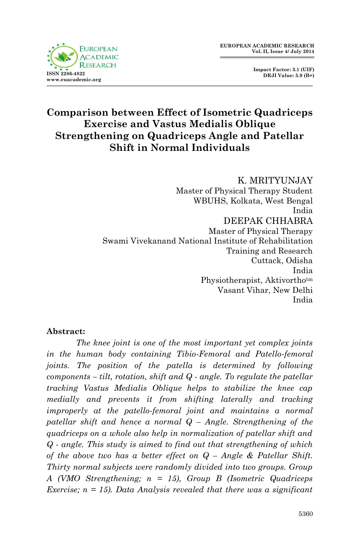

 **Impact Factor: 3.1 (UIF) DRJI Value: 5.9 (B+)**

# **Comparison between Effect of Isometric Quadriceps Exercise and Vastus Medialis Oblique Strengthening on Quadriceps Angle and Patellar Shift in Normal Individuals**

K. MRITYUNJAY Master of Physical Therapy Student WBUHS, Kolkata, West Bengal India DEEPAK CHHABRA Master of Physical Therapy Swami Vivekanand National Institute of Rehabilitation Training and Research Cuttack, Odisha India Physiotherapist, Aktivorthotm Vasant Vihar, New Delhi India

#### **Abstract:**

*The knee joint is one of the most important yet complex joints in the human body containing Tibio-Femoral and Patello-femoral joints. The position of the patella is determined by following components – tilt, rotation, shift and Q - angle. To regulate the patellar tracking Vastus Medialis Oblique helps to stabilize the knee cap medially and prevents it from shifting laterally and tracking improperly at the patello-femoral joint and maintains a normal patellar shift and hence a normal Q – Angle. Strengthening of the quadriceps on a whole also help in normalization of patellar shift and Q - angle. This study is aimed to find out that strengthening of which of the above two has a better effect on Q – Angle & Patellar Shift. Thirty normal subjects were randomly divided into two groups. Group A (VMO Strengthening; n = 15), Group B (Isometric Quadriceps Exercise; n = 15). Data Analysis revealed that there was a significant*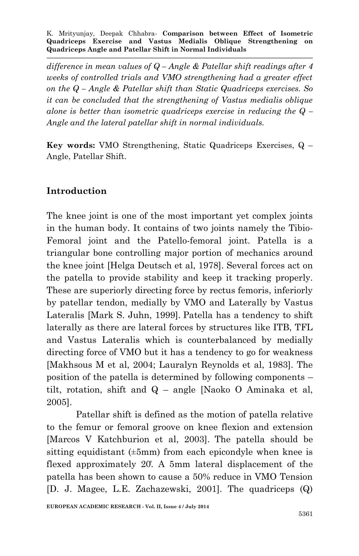*difference in mean values of Q – Angle & Patellar shift readings after 4 weeks of controlled trials and VMO strengthening had a greater effect on the Q – Angle & Patellar shift than Static Quadriceps exercises. So it can be concluded that the strengthening of Vastus medialis oblique alone is better than isometric quadriceps exercise in reducing the Q – Angle and the lateral patellar shift in normal individuals.*

**Key words:** VMO Strengthening, Static Quadriceps Exercises, Q – Angle, Patellar Shift.

## **Introduction**

The knee joint is one of the most important yet complex joints in the human body. It contains of two joints namely the Tibio-Femoral joint and the Patello-femoral joint. Patella is a triangular bone controlling major portion of mechanics around the knee joint [Helga Deutsch et al, 1978]. Several forces act on the patella to provide stability and keep it tracking properly. These are superiorly directing force by rectus femoris, inferiorly by patellar tendon, medially by VMO and Laterally by Vastus Lateralis [Mark S. Juhn, 1999]. Patella has a tendency to shift laterally as there are lateral forces by structures like ITB, TFL and Vastus Lateralis which is counterbalanced by medially directing force of VMO but it has a tendency to go for weakness [Makhsous M et al, 2004; Lauralyn Reynolds et al, 1983]. The position of the patella is determined by following components – tilt, rotation, shift and Q – angle [Naoko O Aminaka et al, 2005].

Patellar shift is defined as the motion of patella relative to the femur or femoral groove on knee flexion and extension [Marcos V Katchburion et al, 2003]. The patella should be sitting equidistant  $(\pm 5$ mm) from each epicondyle when knee is flexed approximately 20̊. A 5mm lateral displacement of the patella has been shown to cause a 50% reduce in VMO Tension [D. J. Magee, L.E. Zachazewski, 2001]. The quadriceps (Q)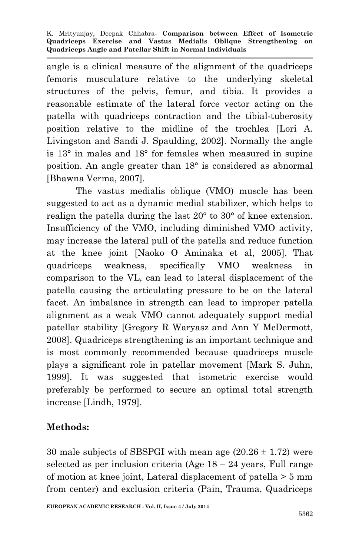angle is a clinical measure of the alignment of the quadriceps femoris musculature relative to the underlying skeletal structures of the pelvis, femur, and tibia. It provides a reasonable estimate of the lateral force vector acting on the patella with quadriceps contraction and the tibial-tuberosity position relative to the midline of the trochlea [Lori A. Livingston and Sandi J. Spaulding, 2002]. Normally the angle is 13° in males and 18° for females when measured in supine position. An angle greater than 18° is considered as abnormal [Bhawna Verma, 2007].

The vastus medialis oblique (VMO) muscle has been suggested to act as a dynamic medial stabilizer, which helps to realign the patella during the last 20° to 30° of knee extension. Insufficiency of the VMO, including diminished VMO activity, may increase the lateral pull of the patella and reduce function at the knee joint [Naoko O Aminaka et al, 2005]. That quadriceps weakness, specifically VMO weakness in comparison to the VL, can lead to lateral displacement of the patella causing the articulating pressure to be on the lateral facet. An imbalance in strength can lead to improper patella alignment as a weak VMO cannot adequately support medial patellar stability [Gregory R Waryasz and Ann Y McDermott, 2008]. Quadriceps strengthening is an important technique and is most commonly recommended because quadriceps muscle plays a significant role in patellar movement [Mark S. Juhn, 1999]. It was suggested that isometric exercise would preferably be performed to secure an optimal total strength increase [Lindh, 1979].

## **Methods:**

30 male subjects of SBSPGI with mean age  $(20.26 \pm 1.72)$  were selected as per inclusion criteria (Age 18 – 24 years, Full range of motion at knee joint, Lateral displacement of patella > 5 mm from center) and exclusion criteria (Pain, Trauma, Quadriceps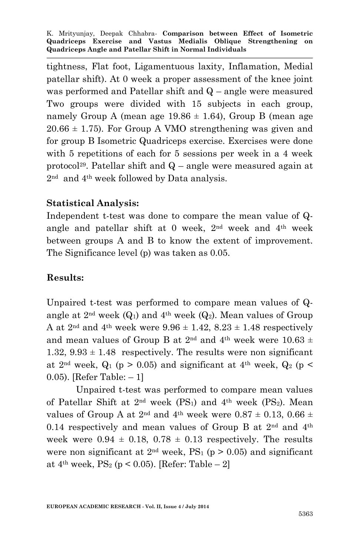tightness, Flat foot, Ligamentuous laxity, Inflamation, Medial patellar shift). At 0 week a proper assessment of the knee joint was performed and Patellar shift and Q – angle were measured Two groups were divided with 15 subjects in each group, namely Group A (mean age  $19.86 \pm 1.64$ ), Group B (mean age  $20.66 \pm 1.75$ ). For Group A VMO strengthening was given and for group B Isometric Quadriceps exercise. Exercises were done with 5 repetitions of each for 5 sessions per week in a 4 week protocol<sup>29</sup>. Patellar shift and  $Q$  – angle were measured again at 2nd and 4th week followed by Data analysis.

### **Statistical Analysis:**

Independent t-test was done to compare the mean value of Qangle and patellar shift at 0 week,  $2<sup>nd</sup>$  week and  $4<sup>th</sup>$  week between groups A and B to know the extent of improvement. The Significance level (p) was taken as 0.05.

#### **Results:**

Unpaired t-test was performed to compare mean values of Qangle at  $2<sup>nd</sup>$  week  $(Q_1)$  and  $4<sup>th</sup>$  week  $(Q_2)$ . Mean values of Group A at  $2<sup>nd</sup>$  and  $4<sup>th</sup>$  week were  $9.96 \pm 1.42$ ,  $8.23 \pm 1.48$  respectively and mean values of Group B at 2<sup>nd</sup> and 4<sup>th</sup> week were 10.63  $\pm$ 1.32,  $9.93 \pm 1.48$  respectively. The results were non significant at  $2<sup>nd</sup>$  week,  $Q_1$  (p > 0.05) and significant at  $4<sup>th</sup>$  week,  $Q_2$  (p < 0.05). [Refer Table: – 1]

Unpaired t-test was performed to compare mean values of Patellar Shift at  $2<sup>nd</sup>$  week (PS<sub>1</sub>) and  $4<sup>th</sup>$  week (PS<sub>2</sub>). Mean values of Group A at  $2^{nd}$  and  $4^{th}$  week were  $0.87 \pm 0.13$ ,  $0.66 \pm 0.13$ 0.14 respectively and mean values of Group B at  $2<sup>nd</sup>$  and  $4<sup>th</sup>$ week were  $0.94 \pm 0.18$ ,  $0.78 \pm 0.13$  respectively. The results were non significant at  $2<sup>nd</sup>$  week, PS<sub>1</sub> (p > 0.05) and significant at  $4<sup>th</sup>$  week,  $PS_2$  (p < 0.05). [Refer: Table – 2]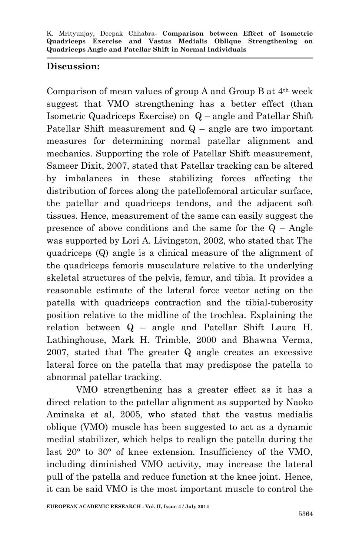## **Discussion:**

Comparison of mean values of group A and Group B at 4th week suggest that VMO strengthening has a better effect (than Isometric Quadriceps Exercise) on Q – angle and Patellar Shift Patellar Shift measurement and  $Q$  – angle are two important measures for determining normal patellar alignment and mechanics. Supporting the role of Patellar Shift measurement, Sameer Dixit, 2007, stated that Patellar tracking can be altered by imbalances in these stabilizing forces affecting the distribution of forces along the patellofemoral articular surface, the patellar and quadriceps tendons, and the adjacent soft tissues. Hence, measurement of the same can easily suggest the presence of above conditions and the same for the  $Q - Angle$ was supported by Lori A. Livingston, 2002, who stated that The quadriceps (Q) angle is a clinical measure of the alignment of the quadriceps femoris musculature relative to the underlying skeletal structures of the pelvis, femur, and tibia. It provides a reasonable estimate of the lateral force vector acting on the patella with quadriceps contraction and the tibial-tuberosity position relative to the midline of the trochlea. Explaining the relation between Q – angle and Patellar Shift Laura H. Lathinghouse, Mark H. Trimble, 2000 and Bhawna Verma, 2007, stated that The greater Q angle creates an excessive lateral force on the patella that may predispose the patella to abnormal patellar tracking.

VMO strengthening has a greater effect as it has a direct relation to the patellar alignment as supported by Naoko Aminaka et al, 2005, who stated that the vastus medialis oblique (VMO) muscle has been suggested to act as a dynamic medial stabilizer, which helps to realign the patella during the last 20° to 30° of knee extension. Insufficiency of the VMO, including diminished VMO activity, may increase the lateral pull of the patella and reduce function at the knee joint. Hence, it can be said VMO is the most important muscle to control the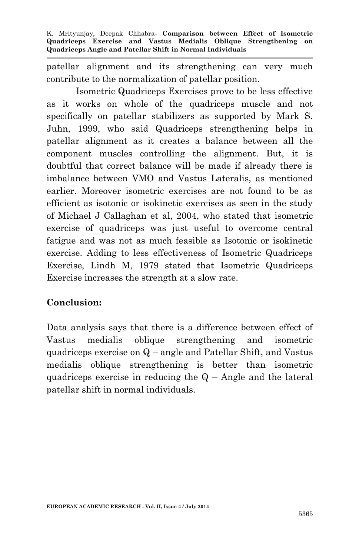patellar alignment and its strengthening can very much contribute to the normalization of patellar position.

Isometric Quadriceps Exercises prove to be less effective as it works on whole of the quadriceps muscle and not specifically on patellar stabilizers as supported by Mark S. Juhn, 1999, who said Quadriceps strengthening helps in patellar alignment as it creates a balance between all the component muscles controlling the alignment. But, it is doubtful that correct balance will be made if already there is imbalance between VMO and Vastus Lateralis, as mentioned earlier. Moreover isometric exercises are not found to be as efficient as isotonic or isokinetic exercises as seen in the study of Michael J Callaghan et al, 2004, who stated that isometric exercise of quadriceps was just useful to overcome central fatigue and was not as much feasible as Isotonic or isokinetic exercise. Adding to less effectiveness of Isometric Quadriceps Exercise, Lindh M, 1979 stated that Isometric Quadriceps Exercise increases the strength at a slow rate.

## **Conclusion:**

Data analysis says that there is a difference between effect of Vastus medialis oblique strengthening and isometric quadriceps exercise on Q – angle and Patellar Shift, and Vastus medialis oblique strengthening is better than isometric quadriceps exercise in reducing the  $Q$  – Angle and the lateral patellar shift in normal individuals.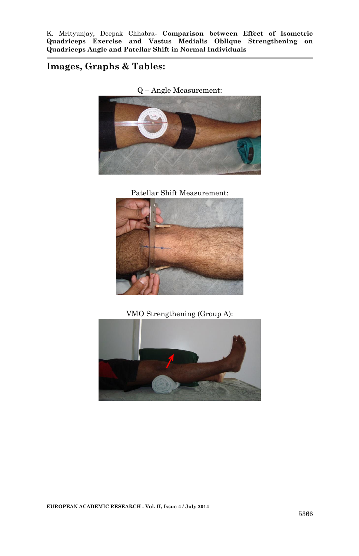### **Images, Graphs & Tables:**



Patellar Shift Measurement:



VMO Strengthening (Group A):

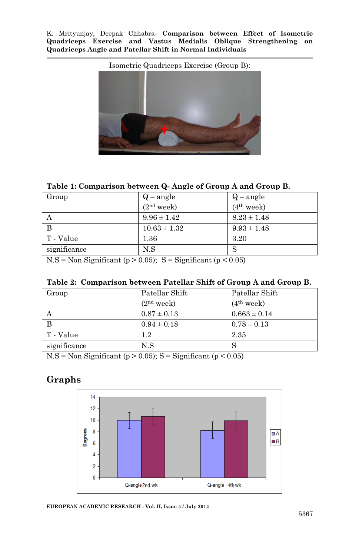Isometric Quadriceps Exercise (Group B):

#### **Table 1: Comparison between Q- Angle of Group A and Group B.**

| Group        | $Q$ – angle            | $Q$ – angle            |  |  |
|--------------|------------------------|------------------------|--|--|
|              | (2 <sup>nd</sup> week) | (4 <sup>th</sup> week) |  |  |
|              | $9.96 \pm 1.42$        | $8.23 \pm 1.48$        |  |  |
| B            | $10.63 \pm 1.32$       | $9.93 \pm 1.48$        |  |  |
| T - Value    | $1.36\,$               | 3.20                   |  |  |
| significance | N.S                    | ○                      |  |  |

 $N.S = Non Significant (p > 0.05); S = Significant (p < 0.05)$ 

|  |  | Table 2: Comparison between Patellar Shift of Group A and Group B. |  |  |  |  |  |  |  |
|--|--|--------------------------------------------------------------------|--|--|--|--|--|--|--|
|--|--|--------------------------------------------------------------------|--|--|--|--|--|--|--|

| Group        | Patellar Shift<br>(2 <sup>nd</sup> week) | Patellar Shift<br>(4 <sup>th</sup> week) |
|--------------|------------------------------------------|------------------------------------------|
|              | $0.87 \pm 0.13$                          | $0.663 \pm 0.14$                         |
| <sup>B</sup> | $0.94 \pm 0.18$                          | $0.78 \pm 0.13$                          |
| T - Value    | $1.2\,$                                  | 2.35                                     |
| significance | N.S                                      |                                          |

 $N.S = Non Significant (p > 0.05); S = Significant (p < 0.05)$ 

## **Graphs**



**EUROPEAN ACADEMIC RESEARCH - Vol. II, Issue 4 / July 2014**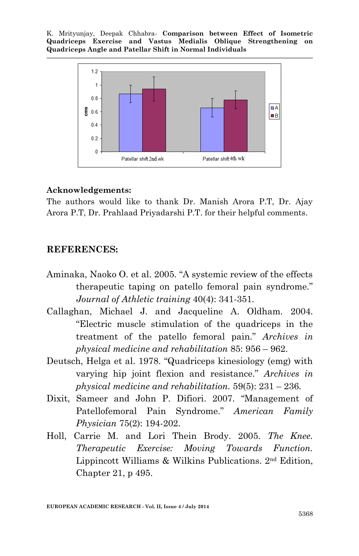

#### **Acknowledgements:**

The authors would like to thank Dr. Manish Arora P.T, Dr. Ajay Arora P.T, Dr. Prahlaad Priyadarshi P.T. for their helpful comments.

#### **REFERENCES:**

- Aminaka, Naoko O. et al. 2005. "A systemic review of the effects therapeutic taping on patello femoral pain syndrome." *Journal of Athletic training* 40(4): 341-351.
- Callaghan, Michael J. and Jacqueline A. Oldham. 2004. "Electric muscle stimulation of the quadriceps in the treatment of the patello femoral pain." *Archives in physical medicine and rehabilitation* 85: 956 – 962.
- Deutsch, Helga et al. 1978. "Quadriceps kinesiology (emg) with varying hip joint flexion and resistance." *Archives in physical medicine and rehabilitation.* 59(5): 231 – 236.
- Dixit, Sameer and John P. Difiori. 2007. "Management of Patellofemoral Pain Syndrome." *American Family Physician* 75(2): 194-202.
- Holl, Carrie M. and Lori Thein Brody. 2005. *The Knee. Therapeutic Exercise: Moving Towards Function.* Lippincott Williams & Wilkins Publications. 2nd Edition, Chapter 21, p 495.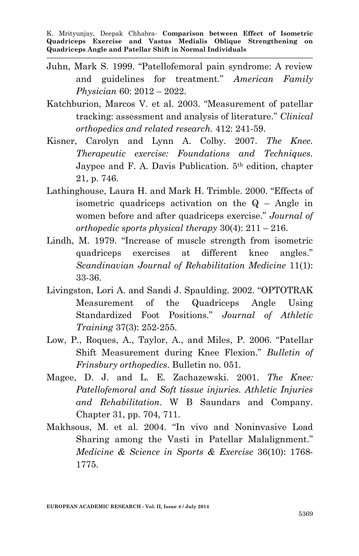- Juhn, Mark S. 1999. "Patellofemoral pain syndrome: A review and guidelines for treatment." *American Family Physician* 60: 2012 – 2022.
- Katchburion, Marcos V. et al. 2003. "Measurement of patellar tracking: assessment and analysis of literature." *Clinical orthopedics and related research.* 412: 241-59.
- Kisner, Carolyn and Lynn A. Colby. 2007. *The Knee. Therapeutic exercise: Foundations and Techniques.* Jaypee and F. A. Davis Publication. 5th edition, chapter 21, p. 746.
- Lathinghouse, Laura H. and Mark H. Trimble. 2000. "Effects of isometric quadriceps activation on the  $Q$  – Angle in women before and after quadriceps exercise." *Journal of orthopedic sports physical therapy* 30(4): 211 – 216.
- Lindh, M. 1979. "Increase of muscle strength from isometric quadriceps exercises at different knee angles." *Scandinavian Journal of Rehabilitation Medicine* 11(1): 33-36.
- Livingston, Lori A. and Sandi J. Spaulding. 2002. "OPTOTRAK Measurement of the Quadriceps Angle Using Standardized Foot Positions." *Journal of Athletic Training* 37(3): 252-255.
- Low, P., Roques, A., Taylor, A., and Miles, P. 2006. "Patellar Shift Measurement during Knee Flexion." *Bulletin of Frinsbury orthopedics*. Bulletin no. 051.
- Magee, D. J. and L. E. Zachazewski. 2001. *The Knee: Patellofemoral and Soft tissue injuries. Athletic Injuries and Rehabilitation*. W B Saundars and Company. Chapter 31, pp. 704, 711.
- Makhsous, M. et al. 2004. "In vivo and Noninvasive Load Sharing among the Vasti in Patellar Malalignment." *Medicine & Science in Sports & Exercise* 36(10): 1768- 1775.